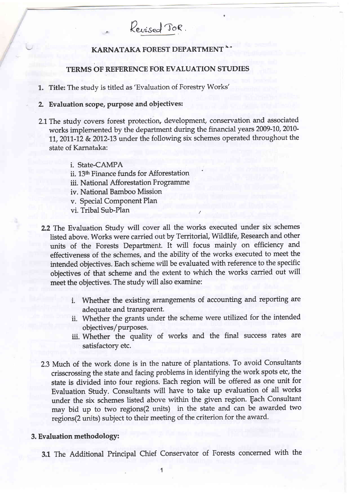# KARNATAKA FOREST DEPARTMENT<sup>\*</sup>\*

Revised TOR.

### TERMS OF REFERENCE FOR EVALUATION STUDIES

1. Title: The study is titled as'Evaluation of Forestry Works'

#### 2. Evaluation scope, purpose and objectives:

- 2.1 The study covers forest protection, development, conservation and associated works implemented by the department during the financial years 2009-10, 2010-11, 2011-12 & 2012-13 under the following six schemes operated throughout the state of Karnataka:
	- i. State-CAMPA
	- ii. 13<sup>th</sup> Finance funds for Afforestation
	- iii. National Afforestation Programme
	- iv. National Bamboo Mission
	- v. Special Component Plan
	- vi. Tribal Sub-Plan /
- 2.2 The Evaluation Study will cover all the works executed under six schemes listed above. Works were carried out by Territorial, Wildlife, Research and other units of the Forests Department. It will focus mainly on efficiency and effectiveness of the schemes, and the ability of the works executed to meet the intended objectives. Each scheme will be evaluated with reference to the specific objectives of that scheme and the extent to which the works carried out will meet the objectives. The study will also examine:
	- i. Whether the existing arrangements of accounting and reporting are adequate and transparent.
	- ii. Whether the grants under the scheme were utilized for the intended objectives/purposes.
	- iii. Whether the quality of works and the final success rates are satisfactory etc.
- 2.3 Much of the work done is in the nature of plantations. To avoid Consultants crisscrossing the state and facing problems in identifying the work spots etc, the state is divided into four regions. Each region will be offered as one unit for Evaluation Study. Consultants wilI have to take up evaluation of all works under the six schemes listed above within the given region. Each Consultant may bid up to two regions(2 units) in the state and can be awarded two regions(2 units) subject to their meeting of the criterion for the award.

#### 3. Evaluation methodology:

3.1 The Additional Principal Chief Conservator of Forests concerned with the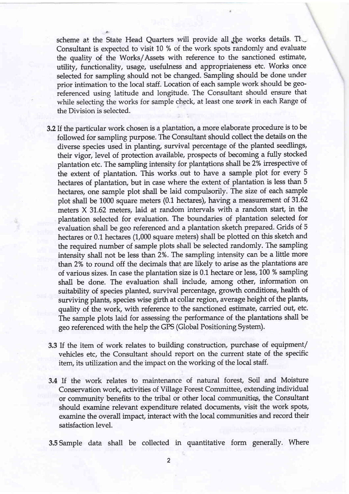scheme at the State Head Quarters will provide all the works details. The Consultant is expected to visit 10 % of the work spots randomly and evaluate the quality of the Works/Assets with reference to the sanctioned estimate, utility, functionality, usage, usefulness and appropriateness etc. Works once selected for sampling should not be changed. Sampling should be done under prior intimation to the local staff. Location of each sample work should be georeferenced using latitude and longitude. The Consultant should ensure that while selecting the works for sample check, at least one  $work$  in each Range of the Division is selected.

- 3.2 If the particular work chosen is a plantation, a more elaborate procedure is to be followed for sampling purpose. The Consultant should collect the details on the diverse species used in planting survival percentage of the planted seedlings, their vigor, Ievel of protection available, prospects of becoming a fully stocked plantation etc. The sampling intensity for plantations shall be 2% irrespective of the extent of plantation. This works, out to have a sample plot for every <sup>5</sup> hectares of plantation, but in case where the extent of plantation is less than 5 hectares, one sample plot shall be laid compulsorily. The size of each sample plot shall be 1000 square meters (0.1 hectares), having a measurement of 31.62 meters  $X$  31.62 meters, laid at random intervals with a random start, in the plantation selected for evaluation. The boundaries of plantation selected for evaluation shall be geo referenced and a plantation sketch prepared. Grids of 5 hectares or 0.1 hectares (1,000 square meters) shall be plotted on this sketch and the required number of sample plots shall be selected randomly. The sampling intensity shall not be less than 2%. The sampling intensity can be a little more than 2% to round off the decimals that are likely to arise as the plantations are of various sizes. In case the plantation size is 0.1 hectare or less, 100 % sampling shall be done. The evaluation shall include, among other, information on suitability of species planted, survival percentage, growth conditions, health of surviving plants, species wise girth at collar region, average height of the plants, quality of the work, with reference to the sanctioned estimate, carried out, etc. The sample plots laid for assessing the performance of the plantations shall be geo referenced with the help the GPS (Global Positioning System).
- 3.3 If the item of work relates to building construction, purchase of equipment/ vehicles etc, the Consultant should report on the current state of the specific item, its utilization and the impact on the working of the local staff.
- 3.4 lf the work relates to maintenance of natural forest, Soil and Moisture Conservation work, activities of Village Forest Committee, extending individual or community benefits to the tribal or other local communities, the Consultant should examine relevant expenditure related documents, visit the work spots, examine the overall impact, interact with the local communities and record their satisfaction level.
- 3.5 Sample data shalt be collected in quantitative form generally. Where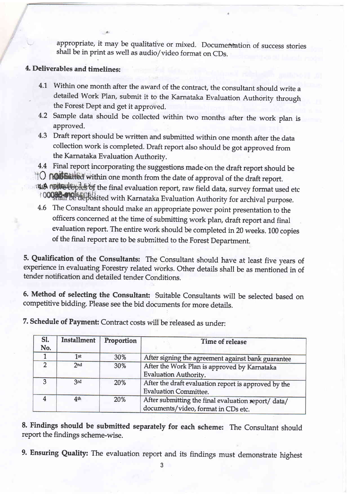appropriate, it may be qualitative or mixed. Documentation of success stories shall be in print as well as audio/video format on CDs.

## 4. Deliverables and timelines:

t.

- 4.1 Within one month after the award of the contract, the consultant should write a detailed Work Plan, submit it to the Karnataka Evaluation Authority through the Forest Dept and get it approved.
- Sample data should be collected within two months after the work plan is 4.2 approved.
- Draft report should be written and submitted within one month after the data 4.3collection work is completed. Draft report also should be got approved from the Karnataka Evaluation Authority.
- 4.4 Final report incorporating the suggestions made on the draft report should be
- **TO NOUGE THE WITHIN ONE MOVE THE MANUS CONSTRAINT** OF the draft report.
- 1418 **npitcultopies** of the final evaluation report, raw field data, survey format used etc 10009181198 deposited with Karnataka Evaluation Authority for archival purpose.
- 4.6 The Consultant should make an appropriate power point presentation to the officers concerned at the time of submitting work plan, draft report and final evaluation report. The entire work should be completed in 20 weeks. 100 copies of the final report are to be submitted to the Forest Department.

5. Qualification of the Consultants: The Consultant should have at least five years of experience in evaluating Forestry related works. Other details shall be as mentioned in of tender notification and detailed tender Conditions.

6. Method of selecting the Consultant: Suitable Consultants will be selected based on competitive bidding. Please see the bid documents for more details.

| SI.<br>No. | Installment     | Proportion | Time of release                                                                            |
|------------|-----------------|------------|--------------------------------------------------------------------------------------------|
|            | 1st             | 30%        | After signing the agreement against bank guarantee                                         |
|            | 2nd             | 30%        | After the Work Plan is approved by Karnataka<br>Evaluation Authority.                      |
| へ          | 3rd             | 20%        | After the draft evaluation report is approved by the<br><b>Evaluation Committee.</b>       |
|            | 4 <sup>th</sup> | 20%        | After submitting the final evaluation report/ data/<br>documents/video, format in CDs etc. |

7. Schedule of Payment: Contract costs will be released as under:

8. Findings should be submitted separately for each scheme: The Consultant should report the findings scheme-wise.

9. Ensuring Quality: The evaluation report and its findings must demonstrate highest